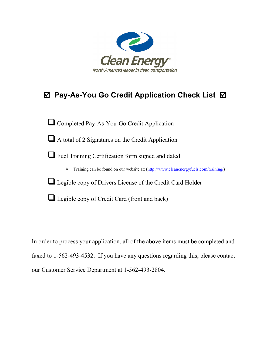

# **Pay-As-You Go Credit Application Check List**

Completed Pay-As-You-Go Credit Application

 $\Box$  A total of 2 Signatures on the Credit Application

Fuel Training Certification form signed and dated

> Training can be found on our website at: [\(http://www.cleanenergyfuels.com/training/\)](http://www.cleanenergyfuels.com/training/)

Legible copy of Drivers License of the Credit Card Holder

 $\Box$  Legible copy of Credit Card (front and back)

In order to process your application, all of the above items must be completed and faxed to 1-562-493-4532. If you have any questions regarding this, please contact our Customer Service Department at 1-562-493-2804.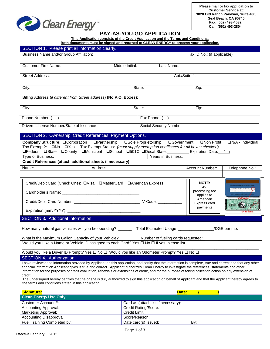

Dlease print all information clearly

## **PAY-AS-YOU-GO APPLICATION**

**This Application consists of the Credit Application and the Terms and Conditions.**

| Both documents must be signed and returned to CLEAN ENERGY to process vour application. |  |  |
|-----------------------------------------------------------------------------------------|--|--|
|                                                                                         |  |  |

| <u>ULUTION T. Thuguu phint ali lihutinaliun uluany.</u><br>Business Name and/or Group Affiliation:                                                                                                                                                                                                                                                                                              |                 | Tax ID No.: (if applicable)   |                                                                                     |                                                                                               |  |
|-------------------------------------------------------------------------------------------------------------------------------------------------------------------------------------------------------------------------------------------------------------------------------------------------------------------------------------------------------------------------------------------------|-----------------|-------------------------------|-------------------------------------------------------------------------------------|-----------------------------------------------------------------------------------------------|--|
| <b>Customer First Name:</b>                                                                                                                                                                                                                                                                                                                                                                     | Middle Initial: | Last Name:                    |                                                                                     |                                                                                               |  |
| <b>Street Address:</b>                                                                                                                                                                                                                                                                                                                                                                          |                 | Apt./Suite #:                 |                                                                                     |                                                                                               |  |
| City:                                                                                                                                                                                                                                                                                                                                                                                           |                 | State:                        | Zip:                                                                                |                                                                                               |  |
| Billing Address (if different from Street address) (No P.O. Boxes):                                                                                                                                                                                                                                                                                                                             |                 |                               |                                                                                     |                                                                                               |  |
| City:                                                                                                                                                                                                                                                                                                                                                                                           |                 | State:                        | Zip:                                                                                |                                                                                               |  |
| Phone Number: ()                                                                                                                                                                                                                                                                                                                                                                                |                 | Fax Phone: ()                 |                                                                                     |                                                                                               |  |
| Drivers License Number/State of Issuance                                                                                                                                                                                                                                                                                                                                                        |                 | <b>Social Security Number</b> |                                                                                     |                                                                                               |  |
| SECTION 2. Ownership, Credit References, Payment Options.                                                                                                                                                                                                                                                                                                                                       |                 |                               |                                                                                     |                                                                                               |  |
| Company Structure: <sup>Q</sup> Corporation<br>□Partnership<br>□Sole Proprietorship<br>□Government □Non Profit<br>$\Box N/A$ - Individual<br>Tax Exempt?: □No □Yes Tax Exempt Status: (must supply exemption certificates for all boxes checked)<br><b>OFederal OState OCounty OMunicipal OSchool O501C ODecal State:</b><br><b>Expiration Date:</b><br>Years in Business:<br>Type of Business: |                 |                               |                                                                                     |                                                                                               |  |
| Credit References (attach additional sheets if necessary)                                                                                                                                                                                                                                                                                                                                       |                 |                               |                                                                                     |                                                                                               |  |
| Name:                                                                                                                                                                                                                                                                                                                                                                                           | Address:        |                               | Account Number:                                                                     | Telephone No.:                                                                                |  |
|                                                                                                                                                                                                                                                                                                                                                                                                 |                 |                               |                                                                                     |                                                                                               |  |
| Credit/Debit Card (Check One): UVisa UMasterCard UAmerican Express                                                                                                                                                                                                                                                                                                                              |                 |                               | NOTE:<br>4%<br>processing fee<br>applies to<br>American<br>Express card<br>payments | <b>WTHORIZED SIGNATUR</b><br>4100 2234 1234 4321 023<br>V-Code<br><b>DOUG (ACT)</b><br>V-Code |  |
| SECTION 3. Additional Information.                                                                                                                                                                                                                                                                                                                                                              |                 |                               |                                                                                     |                                                                                               |  |
| How many natural gas vehicles will you be operating? ________ Total Estimated Usage _______________                                                                                                                                                                                                                                                                                             |                 |                               |                                                                                     | /DGE per mo.                                                                                  |  |
| What is the Maximum Gallon Capacity of your Vehicle? ___________ Number of fueling cards requested:<br>Would you Like a Name or Vehicle ID assigned to each Card? Yes $\square$ No $\square$ If yes, please list                                                                                                                                                                                |                 |                               |                                                                                     |                                                                                               |  |
| Would you like a Driver ID Prompt? Yes □ No □ Would you like an Odometer Prompt? Yes □ No □                                                                                                                                                                                                                                                                                                     |                 |                               |                                                                                     |                                                                                               |  |
| <b>SECTION 4. Authorization.</b>                                                                                                                                                                                                                                                                                                                                                                |                 |                               |                                                                                     |                                                                                               |  |

I have reviewed the information provided by Applicant on this application, and certify that the information is complete, true and correct and that any other financial information Applicant gives is true and correct. Applicant authorizes Clean Energy to investigate the references, statements and other information for the purposes of credit evaluation, renewals or extensions of credit, and for the purpose of taking collection action on any extension of credit.

The undersigned hereby certifies that he or she is duly authorized to sign this application on behalf of Applicant and that the Applicant hereby agrees to the terms and conditions stated in this application.

| Signature:                     | Date:                               |
|--------------------------------|-------------------------------------|
| <b>Clean Energy Use Only</b>   |                                     |
| Customer Account #:            | Card #s (attach list if necessary): |
| <b>Accounting Approval:</b>    | Credit Rating/Score:                |
| Marketing Approval:            | Credit Limit:                       |
| <b>Accounting Disapproval:</b> | Score/Reason:                       |
| Fuel Training Completed by:    | Date card(s) Issued:<br>Bv:         |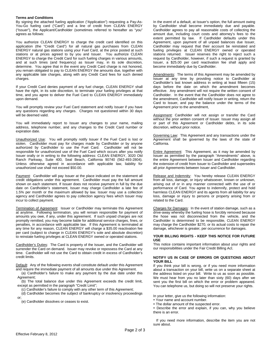#### **Terms and Conditions**

By signing the attached fueling application ("Application") requesting a Pay-As-You-Go fueling card ("Card") and a line of credit from CLEAN ENERGY ("Issuer"), the Applicant/Cardholder (sometimes referred to hereafter as "you" agrees as follows:

You authorize CLEAN ENERGY to charge the credit card identified on this application (the "Credit Card") for all natural gas purchases from CLEAN ENERGY natural gas stations using your Fuel Card, at the price posted at such stations or at prices agreed to by you and Issuer. You authorize CLEAN ENERGY to charge the Credit Card for such fueling charges in various amounts, and at such times (and frequency) as Issuer may, in its sole discretion, determine. You agree that in the event any Credit Card charge is not honored, you remain obligated to pay to CLEAN ENERGY the amounts due, together with any applicable late charges, along with any Credit Card fees for such denied charges.

If your Credit Card denies payment of any fuel charge, CLEAN ENERGY shall have the right, in its sole discretion, to terminate your fueling privileges at that time, and you agree to deliver the Fuel Card to CLEAN ENERGY immediately upon demand.

You will promptly review your Fuel Card statement and notify Issuer if you have any questions regarding any charges. Charges not questioned within 30 days will be deemed valid.

You will immediately report to Issuer any changes to your name, mailing address, telephone number, and any changes to the Credit Card number or expiration date.

Unauthorized Use: You will promptly notify Issuer if the Fuel Card is lost or stolen. Cardholder must pay for charges made by Cardholder or by anyone authorized by Cardholder to use the Fuel Card. Cardholder will not be responsible for unauthorized use of the Fuel Card which occurs after you notify Issuer orally or in writing to the following address: CLEAN ENERGY, 3020 Old Ranch Parkway, Suite 400, Seal Beach, California 90740 (562-493-2804). Unless otherwise agreed in accordance with applicable law, liability for unauthorized use shall not exceed \$50.00.

Payment: Cardholder will pay Issuer at the place indicated on the statement all credit obligations under this agreement. Cardholder must pay the full amount shown on each statement. If Issuer does not receive payment in full by the due date on Cardholder's statement, Issuer may charge Cardholder a late fee of 1.5% per month or the maximum allowed by law. Issuer may use a collection agency and Cardholder agrees to pay collection agency fees which Issuer may incur to collect payment.

Termination of Agreement: Issuer or Cardholder may terminate this Agreement at anytime. Following termination, you will remain responsible for payment of amounts you owe, if any, under this agreement. If such unpaid charges are not promptly remitted, you may become liable for additional service charges, fines, or penalties, in accordance with applicable law. If this Agreement is terminated at any time for any reason, CLEAN ENERGY will charge a \$35.00 reactivation fee per card (subject to change in CLEAN ENERGY's sole and absolute discretion) to reinstate fueling privileges at CLEAN ENERGY owned or operated stations.

Cardholder's Duties: The Card is property of the Issuer, and the Cardholder will surrender the Card on demand. Issuer may revoke or repossess the Card at any time. Cardholder will not use the Card to obtain credit in excess of Cardholder's credit limits.

Default: Any of the following events shall constitute default under this Agreement and require the immediate payment of all amounts due under this Agreement.

(a) Cardholder's failure to make any payment by the due date under this Agreement;

(b) The total balance due under this Agreement exceeds the credit limit, except as permitted in the paragraph "Credit Limit";

(c) Cardholder's failure to comply with any other term of this Agreement;

(d) Cardholder becomes the subject of bankruptcy or insolvency proceedings or;

(e) Cardholder dissolves or ceases to exist.

In the event of a default, at Issuer's option, the full amount owing by Cardholder shall become immediately due and payable. Cardholder agrees to pay all reasonable costs of collecting the amount due, including court costs and attorney's fees to the extent permitted by law. If Cardholder defaults under this Agreement, upon payment of all unpaid balances due Issuer, Cardholder may request that their account be reinstated and fueling privileges at CLEAN ENERGY owned or operated stations returned. Issuer reserves the right to reject such a request by Cardholder, however, if such a request is granted by Issuer, a \$25.00 per card reactivation fee shall apply and become immediately due by Cardholder.

Amendments: The terms of this Agreement may be amended by Issuer at any time by providing notice to Cardholder at Cardholder's last known address in writing at least fifteen (15) days before the date on which the amendment becomes effective. Any amendment will not require the written consent of Cardholder. In the event that the Cardholder does not agree to the amendment, Cardholder will notify Issuer in writing, return the Card to Issuer, and pay the balance under the terms of the Agreement prior to the amendment,

Assignment: Cardholder will not assign or transfer the Card without the prior written consent of Issuer. Issuer may assign all or part of this Agreement or Cardholder debts, in its sole discretion, without prior notice.

Governing Law: This Agreement and any transactions under the Agreement shall be governed by the laws of the state of California.

Entire Agreement: This Agreement, as it may be amended by Issuer as permitted by the paragraph "Amendments" above, is the entire Agreement between Issuer and Cardholder regarding the extension of credit from Issuer to Cardholder and supersedes all prior Agreements between Issuer and Cardholder.

Release and Indemnity: You hereby release CLEAN ENERGY from all loss, damage, or injury whatsoever, known or unknown, arising out of or in any manner connected with the use of or performance of Card. You agree to indemnify, protect and hold harmless CLEAN ENERGY and its agents from all liability for any loss, damage or injury to persons or property arising from or related to the Card.

Charges for Damages: In the event of station damage, such as a drive-away whereby the fueling hose is forcibly removed because the hose was not disconnected from the vehicle, and the Cardholder is determined to be responsible, CLEAN ENERGY may charge the Cardholder \$270, or its actual costs to repair the damage, whichever is greater, per occurrence for damages.

#### **YOUR BILLING RIGHTS - KEEP THIS NOTICE FOR FUTURE USE**

This notice contains important information about your rights and our responsibilities under the Fair Credit Billing Act.

### **NOTIFY US IN CASE OF ERRORS OR QUESTIONS ABOUT YOUR BILL**

If you think your bill is wrong, or if you need more information about a transaction on your bill, write us on a separate sheet at the address listed on your bill. Write to us as soon as possible. We must hear from you no later than sixty (60) days after we sent you the first bill on which the error or problem appeared. You can telephone us, but doing so will not preserve your rights.

In your letter, give us the following information:

- Your name and account number.
- The dollar amount of the suspected error.

 Describe the error and explain, if you can, why you believe there is an error.

 If you need more information, describe the item you are not sure about.